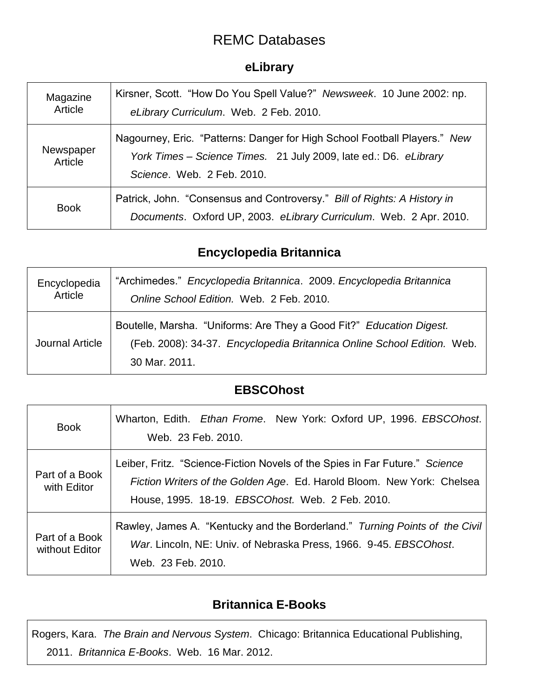# REMC Databases

### **eLibrary**

| Magazine<br>Article  | Kirsner, Scott. "How Do You Spell Value?" Newsweek. 10 June 2002: np.<br>eLibrary Curriculum. Web. 2 Feb. 2010.                                                             |
|----------------------|-----------------------------------------------------------------------------------------------------------------------------------------------------------------------------|
| Newspaper<br>Article | Nagourney, Eric. "Patterns: Danger for High School Football Players." New<br>York Times - Science Times. 21 July 2009, late ed.: D6. eLibrary<br>Science, Web. 2 Feb. 2010. |
| <b>Book</b>          | Patrick, John. "Consensus and Controversy." Bill of Rights: A History in<br>Documents. Oxford UP, 2003. eLibrary Curriculum. Web. 2 Apr. 2010.                              |

# **Encyclopedia Britannica**

| Encyclopedia    | "Archimedes." Encyclopedia Britannica. 2009. Encyclopedia Britannica                                                                                             |
|-----------------|------------------------------------------------------------------------------------------------------------------------------------------------------------------|
| Article         | Online School Edition. Web. 2 Feb. 2010.                                                                                                                         |
| Journal Article | Boutelle, Marsha. "Uniforms: Are They a Good Fit?" Education Digest.<br>(Feb. 2008): 34-37. Encyclopedia Britannica Online School Edition. Web.<br>30 Mar. 2011. |

### **EBSCOhost**

| <b>Book</b>                      | Wharton, Edith. Ethan Frome. New York: Oxford UP, 1996. EBSCOhost.<br>Web. 23 Feb. 2010.                                                                                                                  |
|----------------------------------|-----------------------------------------------------------------------------------------------------------------------------------------------------------------------------------------------------------|
| Part of a Book<br>with Editor    | Leiber, Fritz. "Science-Fiction Novels of the Spies in Far Future." Science<br>Fiction Writers of the Golden Age. Ed. Harold Bloom. New York: Chelsea<br>House, 1995. 18-19. EBSCOhost. Web. 2 Feb. 2010. |
| Part of a Book<br>without Editor | Rawley, James A. "Kentucky and the Borderland." Turning Points of the Civil<br>War. Lincoln, NE: Univ. of Nebraska Press, 1966. 9-45. EBSCOhost.<br>Web. 23 Feb. 2010.                                    |

# **Britannica E-Books**

Rogers, Kara. *The Brain and Nervous System*. Chicago: Britannica Educational Publishing, 2011. *Britannica E-Books*. Web. 16 Mar. 2012.